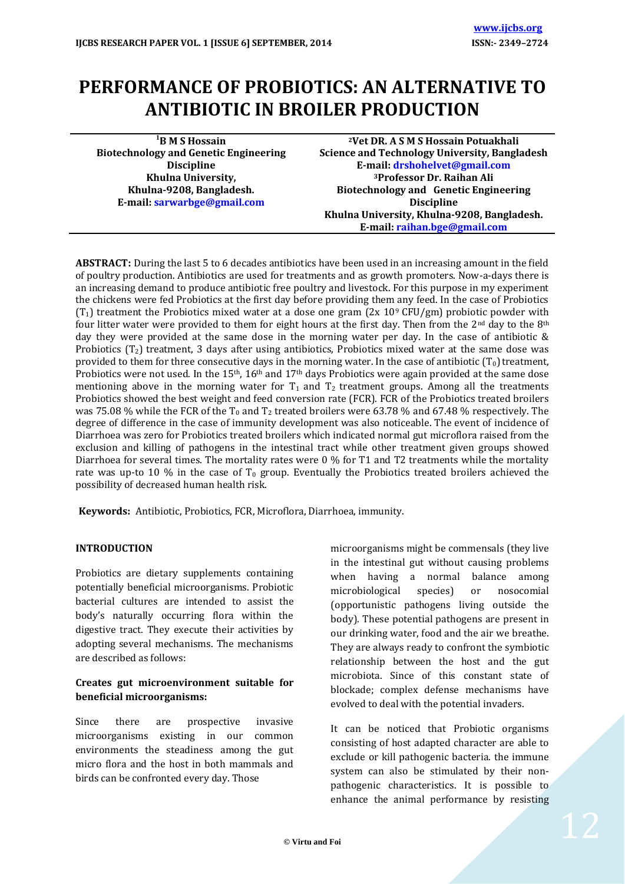# **PERFORMANCE OF PROBIOTICS: AN ALTERNATIVE TO ANTIBIOTIC IN BROILER PRODUCTION**

**<sup>1</sup>B M S Hossain Biotechnology and Genetic Engineering Discipline Khulna University, Khulna-9208, Bangladesh. E-mail[: sarwarbge@gmail.com](mailto:sarwarbge@gmail.com)**

**<sup>2</sup>Vet DR. A S M S Hossain Potuakhali Science and Technology University, Bangladesh E-mail[: drshohelvet@gmail.com](mailto:drshohelvet@gmail.com) <sup>3</sup>Professor Dr. Raihan Ali Biotechnology and Genetic Engineering Discipline Khulna University, Khulna-9208, Bangladesh. E-mail[: raihan.bge@gmail.com](mailto:raihan.bge@gmail.com)**

**ABSTRACT:** During the last 5 to 6 decades antibiotics have been used in an increasing amount in the field of poultry production. Antibiotics are used for treatments and as growth promoters. Now-a-days there is an increasing demand to produce antibiotic free poultry and livestock. For this purpose in my experiment the chickens were fed Probiotics at the first day before providing them any feed. In the case of Probiotics  $(T_1)$  treatment the Probiotics mixed water at a dose one gram  $(2x 109 CFU/gm)$  probiotic powder with four litter water were provided to them for eight hours at the first day. Then from the  $2<sup>nd</sup>$  day to the  $8<sup>th</sup>$ day they were provided at the same dose in the morning water per day. In the case of antibiotic & Probiotics  $(T_2)$  treatment, 3 days after using antibiotics, Probiotics mixed water at the same dose was provided to them for three consecutive days in the morning water. In the case of antibiotic  $(T_0)$  treatment, Probiotics were not used. In the  $15<sup>th</sup>$ ,  $16<sup>th</sup>$  and  $17<sup>th</sup>$  days Probiotics were again provided at the same dose mentioning above in the morning water for  $T_1$  and  $T_2$  treatment groups. Among all the treatments Probiotics showed the best weight and feed conversion rate (FCR). FCR of the Probiotics treated broilers was 75.08 % while the FCR of the T<sub>0</sub> and T<sub>2</sub> treated broilers were 63.78 % and 67.48 % respectively. The degree of difference in the case of immunity development was also noticeable. The event of incidence of Diarrhoea was zero for Probiotics treated broilers which indicated normal gut microflora raised from the exclusion and killing of pathogens in the intestinal tract while other treatment given groups showed Diarrhoea for several times. The mortality rates were 0 % for T1 and T2 treatments while the mortality rate was up-to 10 % in the case of  $T_0$  group. Eventually the Probiotics treated broilers achieved the possibility of decreased human health risk.

**Keywords:** Antibiotic, Probiotics, FCR, Microflora, Diarrhoea, immunity.

## **INTRODUCTION**

Probiotics are dietary supplements containing potentially beneficial microorganisms. Probiotic bacterial cultures are intended to assist the body's naturally occurring flora within the digestive tract. They execute their activities by adopting several mechanisms. The mechanisms are described as follows:

## **Creates gut microenvironment suitable for beneficial microorganisms:**

Since there are prospective invasive microorganisms existing in our common environments the steadiness among the gut micro flora and the host in both mammals and birds can be confronted every day. Those

microorganisms might be commensals (they live in the intestinal gut without causing problems when having a normal balance among microbiological species) or nosocomial (opportunistic pathogens living outside the body). These potential pathogens are present in our drinking water, food and the air we breathe. They are always ready to confront the symbiotic relationship between the host and the gut microbiota. Since of this constant state of blockade; complex defense mechanisms have evolved to deal with the potential invaders.

It can be noticed that Probiotic organisms consisting of host adapted character are able to exclude or kill pathogenic bacteria. the immune system can also be stimulated by their nonpathogenic characteristics. It is possible to enhance the animal performance by resisting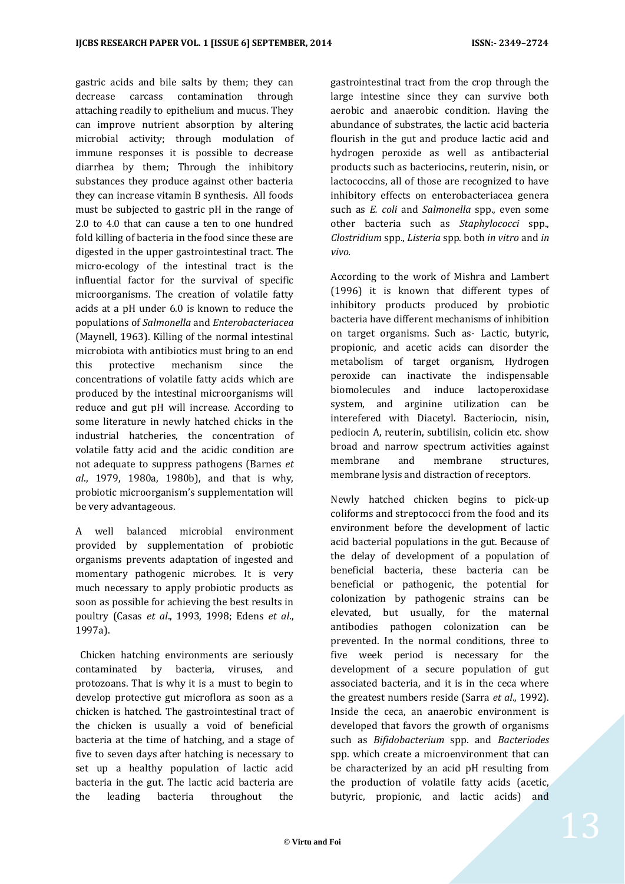gastric acids and bile salts by them; they can decrease carcass contamination through attaching readily to epithelium and mucus. They can improve nutrient absorption by altering microbial activity; through modulation of immune responses it is possible to decrease diarrhea by them; Through the inhibitory substances they produce against other bacteria they can increase vitamin B synthesis. All foods must be subjected to gastric pH in the range of 2.0 to 4.0 that can cause a ten to one hundred fold killing of bacteria in the food since these are digested in the upper gastrointestinal tract. The micro-ecology of the intestinal tract is the influential factor for the survival of specific microorganisms. The creation of volatile fatty acids at a pH under 6.0 is known to reduce the populations of *Salmonella* and *Enterobacteriacea* (Maynell, 1963). Killing of the normal intestinal microbiota with antibiotics must bring to an end this protective mechanism since the concentrations of volatile fatty acids which are produced by the intestinal microorganisms will reduce and gut pH will increase. According to some literature in newly hatched chicks in the industrial hatcheries, the concentration of volatile fatty acid and the acidic condition are not adequate to suppress pathogens (Barnes *et al*., 1979, 1980a, 1980b), and that is why, probiotic microorganism's supplementation will be very advantageous.

A well balanced microbial environment provided by supplementation of probiotic organisms prevents adaptation of ingested and momentary pathogenic microbes. It is very much necessary to apply probiotic products as soon as possible for achieving the best results in poultry (Casas *et al*., 1993, 1998; Edens *et al*., 1997a).

 Chicken hatching environments are seriously contaminated by bacteria, viruses, and protozoans. That is why it is a must to begin to develop protective gut microflora as soon as a chicken is hatched. The gastrointestinal tract of the chicken is usually a void of beneficial bacteria at the time of hatching, and a stage of five to seven days after hatching is necessary to set up a healthy population of lactic acid bacteria in the gut. The lactic acid bacteria are the leading bacteria throughout the

gastrointestinal tract from the crop through the large intestine since they can survive both aerobic and anaerobic condition. Having the abundance of substrates, the lactic acid bacteria flourish in the gut and produce lactic acid and hydrogen peroxide as well as antibacterial products such as bacteriocins, reuterin, nisin, or lactococcins, all of those are recognized to have inhibitory effects on enterobacteriacea genera such as *E. coli* and *Salmonella* spp., even some other bacteria such as *Staphylococci* spp., *Clostridium* spp., *Listeria* spp. both *in vitro* and *in vivo.*

According to the work of Mishra and Lambert (1996) it is known that different types of inhibitory products produced by probiotic bacteria have different mechanisms of inhibition on target organisms. Such as- Lactic, butyric, propionic, and acetic acids can disorder the metabolism of target organism, Hydrogen peroxide can inactivate the indispensable biomolecules and induce lactoperoxidase system, and arginine utilization can be interefered with Diacetyl. Bacteriocin, nisin, pediocin A, reuterin, subtilisin, colicin etc. show broad and narrow spectrum activities against membrane and membrane structures, membrane lysis and distraction of receptors.

Newly hatched chicken begins to pick-up coliforms and streptococci from the food and its environment before the development of lactic acid bacterial populations in the gut. Because of the delay of development of a population of beneficial bacteria, these bacteria can be beneficial or pathogenic, the potential for colonization by pathogenic strains can be elevated, but usually, for the maternal antibodies pathogen colonization can be prevented. In the normal conditions, three to five week period is necessary for the development of a secure population of gut associated bacteria, and it is in the ceca where the greatest numbers reside (Sarra *et al*., 1992). Inside the ceca, an anaerobic environment is developed that favors the growth of organisms such as *Bifidobacterium* spp. and *Bacteriodes* spp. which create a microenvironment that can be characterized by an acid pH resulting from the production of volatile fatty acids (acetic, butyric, propionic, and lactic acids) and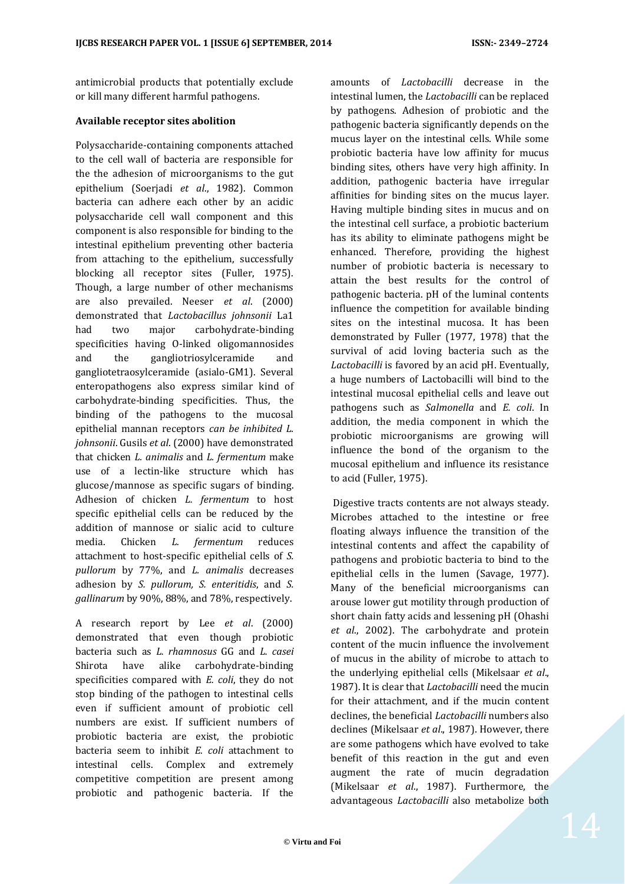antimicrobial products that potentially exclude or kill many different harmful pathogens.

#### **Available receptor sites abolition**

Polysaccharide-containing components attached to the cell wall of bacteria are responsible for the the adhesion of microorganisms to the gut epithelium (Soerjadi *et al*., 1982). Common bacteria can adhere each other by an acidic polysaccharide cell wall component and this component is also responsible for binding to the intestinal epithelium preventing other bacteria from attaching to the epithelium, successfully blocking all receptor sites (Fuller, 1975). Though, a large number of other mechanisms are also prevailed. Neeser *et al*. (2000) demonstrated that *Lactobacillus johnsonii* La1 had two major carbohydrate-binding specificities having O-linked oligomannosides and the gangliotriosylceramide and gangliotetraosylceramide (asialo-GM1). Several enteropathogens also express similar kind of carbohydrate-binding specificities. Thus, the binding of the pathogens to the mucosal epithelial mannan receptors *can be inhibited L. johnsonii*. Gusils *et al*. (2000) have demonstrated that chicken *L. animalis* and *L. fermentum* make use of a lectin-like structure which has glucose/mannose as specific sugars of binding. Adhesion of chicken *L. fermentum* to host specific epithelial cells can be reduced by the addition of mannose or sialic acid to culture media. Chicken *L. fermentum* reduces attachment to host-specific epithelial cells of *S. pullorum* by 77%, and *L. animalis* decreases adhesion by *S. pullorum, S. enteritidis*, and *S. gallinarum* by 90%, 88%, and 78%, respectively.

A research report by Lee *et al*. (2000) demonstrated that even though probiotic bacteria such as *L. rhamnosus* GG and *L. casei* Shirota have alike carbohydrate-binding specificities compared with *E. coli*, they do not stop binding of the pathogen to intestinal cells even if sufficient amount of probiotic cell numbers are exist. If sufficient numbers of probiotic bacteria are exist, the probiotic bacteria seem to inhibit *E. coli* attachment to intestinal cells. Complex and extremely competitive competition are present among probiotic and pathogenic bacteria. If the

amounts of *Lactobacilli* decrease in the intestinal lumen, the *Lactobacilli* can be replaced by pathogens. Adhesion of probiotic and the pathogenic bacteria significantly depends on the mucus layer on the intestinal cells. While some probiotic bacteria have low affinity for mucus binding sites, others have very high affinity. In addition, pathogenic bacteria have irregular affinities for binding sites on the mucus layer. Having multiple binding sites in mucus and on the intestinal cell surface, a probiotic bacterium has its ability to eliminate pathogens might be enhanced. Therefore, providing the highest number of probiotic bacteria is necessary to attain the best results for the control of pathogenic bacteria. pH of the luminal contents influence the competition for available binding sites on the intestinal mucosa. It has been demonstrated by Fuller (1977, 1978) that the survival of acid loving bacteria such as the *Lactobacilli* is favored by an acid pH. Eventually, a huge numbers of Lactobacilli will bind to the intestinal mucosal epithelial cells and leave out pathogens such as *Salmonella* and *E. coli*. In addition, the media component in which the probiotic microorganisms are growing will influence the bond of the organism to the mucosal epithelium and influence its resistance to acid (Fuller, 1975).

Digestive tracts contents are not always steady. Microbes attached to the intestine or free floating always influence the transition of the intestinal contents and affect the capability of pathogens and probiotic bacteria to bind to the epithelial cells in the lumen (Savage, 1977). Many of the beneficial microorganisms can arouse lower gut motility through production of short chain fatty acids and lessening pH (Ohashi *et al*., 2002). The carbohydrate and protein content of the mucin influence the involvement of mucus in the ability of microbe to attach to the underlying epithelial cells (Mikelsaar *et al*., 1987). It is clear that *Lactobacilli* need the mucin for their attachment, and if the mucin content declines, the beneficial *Lactobacilli* numbers also declines (Mikelsaar *et al*., 1987). However, there are some pathogens which have evolved to take benefit of this reaction in the gut and even augment the rate of mucin degradation (Mikelsaar *et al*., 1987). Furthermore, the advantageous *Lactobacilli* also metabolize both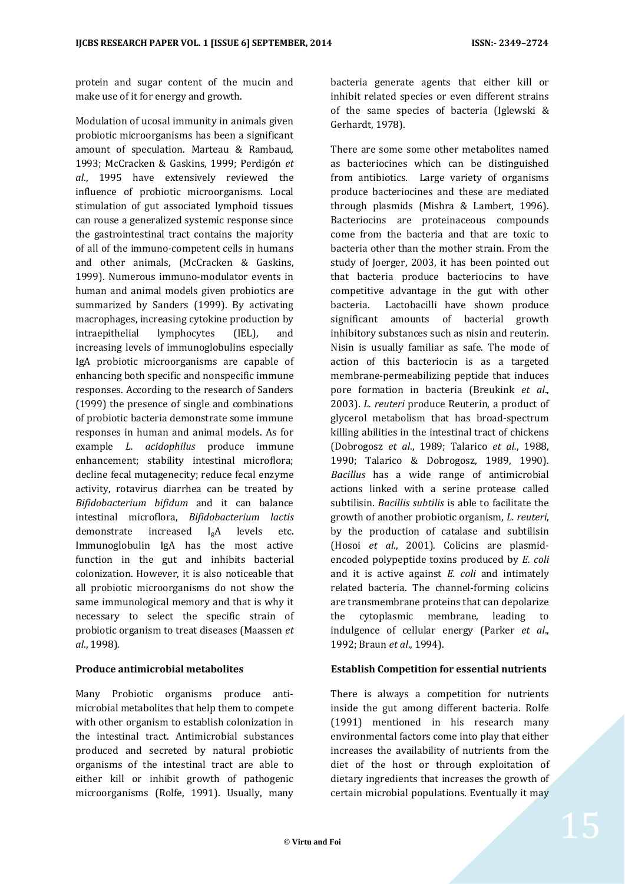protein and sugar content of the mucin and make use of it for energy and growth.

Modulation of ucosal immunity in animals given probiotic microorganisms has been a significant amount of speculation. Marteau & Rambaud, 1993; McCracken & Gaskins, 1999; Perdigón *et al*., 1995 have extensively reviewed the influence of probiotic microorganisms. Local stimulation of gut associated lymphoid tissues can rouse a generalized systemic response since the gastrointestinal tract contains the majority of all of the immuno-competent cells in humans and other animals, (McCracken & Gaskins, 1999). Numerous immuno-modulator events in human and animal models given probiotics are summarized by Sanders (1999). By activating macrophages, increasing cytokine production by intraepithelial lymphocytes (IEL), and increasing levels of immunoglobulins especially IgA probiotic microorganisms are capable of enhancing both specific and nonspecific immune responses. According to the research of Sanders (1999) the presence of single and combinations of probiotic bacteria demonstrate some immune responses in human and animal models. As for example *L. acidophilus* produce immune enhancement; stability intestinal microflora; decline fecal mutagenecity; reduce fecal enzyme activity, rotavirus diarrhea can be treated by *Bifidobacterium bifidum* and it can balance intestinal microflora, *Bifidobacterium lactis*  demonstrate increased IgA levels etc. Immunoglobulin IgA has the most active function in the gut and inhibits bacterial colonization. However, it is also noticeable that all probiotic microorganisms do not show the same immunological memory and that is why it necessary to select the specific strain of probiotic organism to treat diseases (Maassen *et al*., 1998).

## **Produce antimicrobial metabolites**

Many Probiotic organisms produce antimicrobial metabolites that help them to compete with other organism to establish colonization in the intestinal tract. Antimicrobial substances produced and secreted by natural probiotic organisms of the intestinal tract are able to either kill or inhibit growth of pathogenic microorganisms (Rolfe, 1991). Usually, many bacteria generate agents that either kill or inhibit related species or even different strains of the same species of bacteria (Iglewski & Gerhardt, 1978).

There are some some other metabolites named as bacteriocines which can be distinguished from antibiotics. Large variety of organisms produce bacteriocines and these are mediated through plasmids (Mishra & Lambert, 1996). Bacteriocins are proteinaceous compounds come from the bacteria and that are toxic to bacteria other than the mother strain. From the study of Joerger, 2003, it has been pointed out that bacteria produce bacteriocins to have competitive advantage in the gut with other bacteria. Lactobacilli have shown produce significant amounts of bacterial growth inhibitory substances such as nisin and reuterin. Nisin is usually familiar as safe. The mode of action of this bacteriocin is as a targeted membrane-permeabilizing peptide that induces pore formation in bacteria (Breukink *et al*., 2003). *L. reuteri* produce Reuterin, a product of glycerol metabolism that has broad-spectrum killing abilities in the intestinal tract of chickens (Dobrogosz *et al*., 1989; Talarico *et al.*, 1988, 1990; Talarico & Dobrogosz, 1989, 1990). *Bacillus* has a wide range of antimicrobial actions linked with a serine protease called subtilisin. *Bacillis subtilis* is able to facilitate the growth of another probiotic organism, *L. reuteri*, by the production of catalase and subtilisin (Hosoi *et al*., 2001). Colicins are plasmidencoded polypeptide toxins produced by *E. coli* and it is active against *E. coli* and intimately related bacteria. The channel-forming colicins are transmembrane proteins that can depolarize the cytoplasmic membrane, leading to indulgence of cellular energy (Parker *et al*., 1992; Braun *et al*., 1994).

## **Establish Competition for essential nutrients**

There is always a competition for nutrients inside the gut among different bacteria. Rolfe (1991) mentioned in his research many environmental factors come into play that either increases the availability of nutrients from the diet of the host or through exploitation of dietary ingredients that increases the growth of certain microbial populations. Eventually it may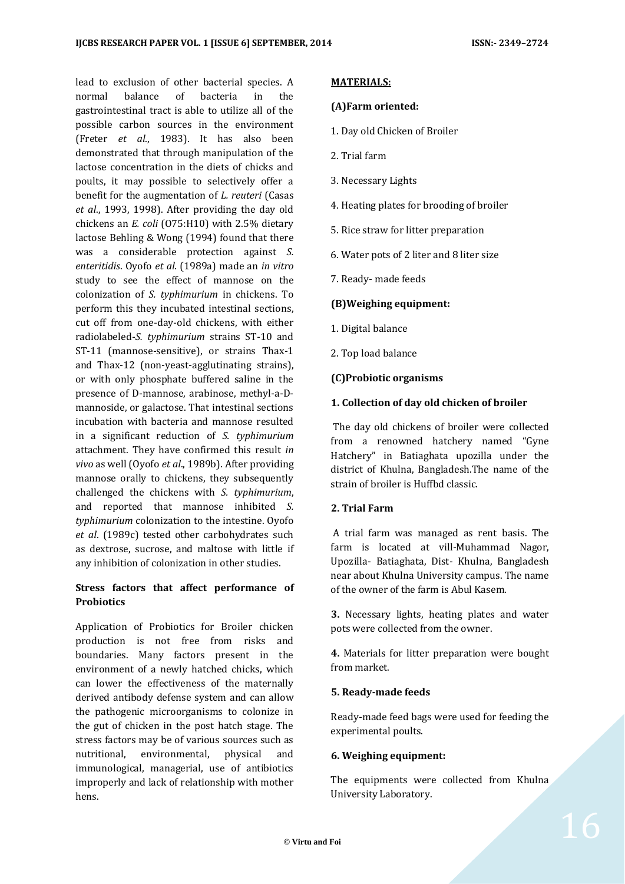lead to exclusion of other bacterial species. A normal balance of bacteria in the gastrointestinal tract is able to utilize all of the possible carbon sources in the environment (Freter *et al*., 1983). It has also been demonstrated that through manipulation of the lactose concentration in the diets of chicks and poults, it may possible to selectively offer a benefit for the augmentation of *L. reuteri* (Casas *et al*., 1993, 1998). After providing the day old chickens an *E. coli* (O75:H10) with 2.5% dietary lactose Behling & Wong (1994) found that there was a considerable protection against *S. enteritidis*. Oyofo *et al*. (1989a) made an *in vitro*  study to see the effect of mannose on the colonization of *S. typhimurium* in chickens. To perform this they incubated intestinal sections, cut off from one-day-old chickens, with either radiolabeled-*S. typhimurium* strains ST-10 and ST-11 (mannose-sensitive), or strains Thax-1 and Thax-12 (non-yeast-agglutinating strains), or with only phosphate buffered saline in the presence of D-mannose, arabinose, methyl-a-Dmannoside, or galactose. That intestinal sections incubation with bacteria and mannose resulted in a significant reduction of *S. typhimurium* attachment. They have confirmed this result *in vivo* as well (Oyofo *et al*., 1989b). After providing mannose orally to chickens, they subsequently challenged the chickens with *S. typhimurium*, and reported that mannose inhibited *S. typhimurium* colonization to the intestine. Oyofo *et al*. (1989c) tested other carbohydrates such as dextrose, sucrose, and maltose with little if any inhibition of colonization in other studies.

## **Stress factors that affect performance of Probiotics**

Application of Probiotics for Broiler chicken production is not free from risks and boundaries. Many factors present in the environment of a newly hatched chicks, which can lower the effectiveness of the maternally derived antibody defense system and can allow the pathogenic microorganisms to colonize in the gut of chicken in the post hatch stage. The stress factors may be of various sources such as nutritional, environmental, physical and immunological, managerial, use of antibiotics improperly and lack of relationship with mother hens.

#### **MATERIALS:**

#### **(A)Farm oriented:**

- 1. Day old Chicken of Broiler
- 2. Trial farm
- 3. Necessary Lights
- 4. Heating plates for brooding of broiler
- 5. Rice straw for litter preparation
- 6. Water pots of 2 liter and 8 liter size
- 7. Ready- made feeds

### **(B)Weighing equipment:**

- 1. Digital balance
- 2. Top load balance

### **(C)Probiotic organisms**

#### **1. Collection of day old chicken of broiler**

The day old chickens of broiler were collected from a renowned hatchery named "Gyne Hatchery" in Batiaghata upozilla under the district of Khulna, Bangladesh.The name of the strain of broiler is Huffbd classic.

### **2. Trial Farm**

A trial farm was managed as rent basis. The farm is located at vill-Muhammad Nagor, Upozilla- Batiaghata, Dist- Khulna, Bangladesh near about Khulna University campus. The name of the owner of the farm is Abul Kasem.

**3.** Necessary lights, heating plates and water pots were collected from the owner.

**4.** Materials for litter preparation were bought from market.

#### **5. Ready-made feeds**

Ready-made feed bags were used for feeding the experimental poults.

#### **6. Weighing equipment:**

The equipments were collected from Khulna University Laboratory.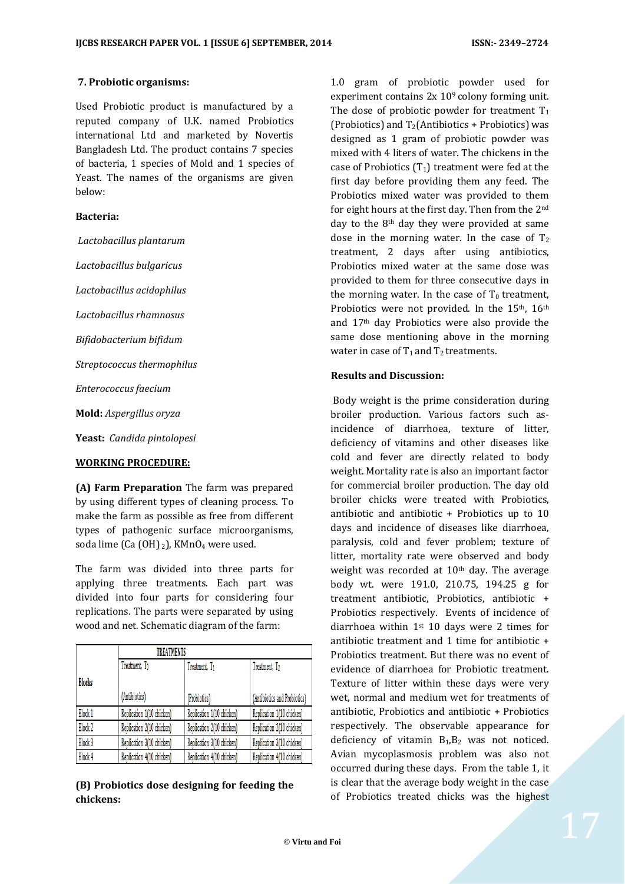### **7. Probiotic organisms:**

Used Probiotic product is manufactured by a reputed company of U.K. named Probiotics international Ltd and marketed by Novertis Bangladesh Ltd. The product contains 7 species of bacteria, 1 species of Mold and 1 species of Yeast. The names of the organisms are given below:

### **Bacteria:**

*Lactobacillus plantarum*

*Lactobacillus bulgaricus*

*Lactobacillus acidophilus*

*Lactobacillus rhamnosus*

*Bifidobacterium bifidum*

*Streptococcus thermophilus*

*Enterococcus faecium*

**Mold:** *Aspergillus oryza*

**Yeast:** *Candida pintolopesi*

#### **WORKING PROCEDURE:**

**(A) Farm Preparation** The farm was prepared by using different types of cleaning process. To make the farm as possible as free from different types of pathogenic surface microorganisms, soda lime (Ca (OH) 2), KMnO<sub>4</sub> were used.

The farm was divided into three parts for applying three treatments. Each part was divided into four parts for considering four replications. The parts were separated by using wood and net. Schematic diagram of the farm:

|               |                           | <b>TREATMENTS</b>         |                              |  |  |  |  |
|---------------|---------------------------|---------------------------|------------------------------|--|--|--|--|
|               | Treatment, To             | Treatment, T <sub>1</sub> | Treatment, T <sub>2</sub>    |  |  |  |  |
| <b>Blocks</b> |                           |                           |                              |  |  |  |  |
|               | (Antibiotics)             | (Probiotics)              | (Antibiotics and Probiotics) |  |  |  |  |
| Block 1       | Replication 1(10 chicken) | Replication 1(10 chicken) | Replication 1(10 chicken)    |  |  |  |  |
| Block 2       | Replication 2(10 chicken) | Replication 2(10 chicken) | Replication 2(10 chicken)    |  |  |  |  |
| Block 3       | Replication 3(10 chicken) | Replication 3(10 chicken) | Replication 3(10 chicken)    |  |  |  |  |
| Block 4       | Replication 4(10 chicken) | Replication 4(10 chicken) | Replication 4(10 chicken)    |  |  |  |  |

**(B) Probiotics dose designing for feeding the chickens:**

1.0 gram of probiotic powder used for experiment contains 2x 109 colony forming unit. The dose of probiotic powder for treatment  $T_1$ (Probiotics) and  $T_2$ (Antibiotics + Probiotics) was designed as 1 gram of probiotic powder was mixed with 4 liters of water. The chickens in the case of Probiotics  $(T_1)$  treatment were fed at the first day before providing them any feed. The Probiotics mixed water was provided to them for eight hours at the first day. Then from the 2nd day to the 8<sup>th</sup> day they were provided at same dose in the morning water. In the case of  $T_2$ treatment, 2 days after using antibiotics, Probiotics mixed water at the same dose was provided to them for three consecutive days in the morning water. In the case of  $T_0$  treatment, Probiotics were not provided. In the 15<sup>th</sup>, 16<sup>th</sup> and 17th day Probiotics were also provide the same dose mentioning above in the morning water in case of  $T_1$  and  $T_2$  treatments.

#### **Results and Discussion:**

Body weight is the prime consideration during broiler production. Various factors such asincidence of diarrhoea, texture of litter, deficiency of vitamins and other diseases like cold and fever are directly related to body weight. Mortality rate is also an important factor for commercial broiler production. The day old broiler chicks were treated with Probiotics, antibiotic and antibiotic + Probiotics up to 10 days and incidence of diseases like diarrhoea, paralysis, cold and fever problem; texture of litter, mortality rate were observed and body weight was recorded at  $10<sup>th</sup>$  day. The average body wt. were 191.0, 210.75, 194.25 g for treatment antibiotic, Probiotics, antibiotic + Probiotics respectively. Events of incidence of diarrhoea within  $1<sup>st</sup> 10$  days were 2 times for antibiotic treatment and 1 time for antibiotic + Probiotics treatment. But there was no event of evidence of diarrhoea for Probiotic treatment. Texture of litter within these days were very wet, normal and medium wet for treatments of antibiotic, Probiotics and antibiotic + Probiotics respectively. The observable appearance for deficiency of vitamin  $B_1, B_2$  was not noticed. Avian mycoplasmosis problem was also not occurred during these days. From the table 1, it is clear that the average body weight in the case of Probiotics treated chicks was the highest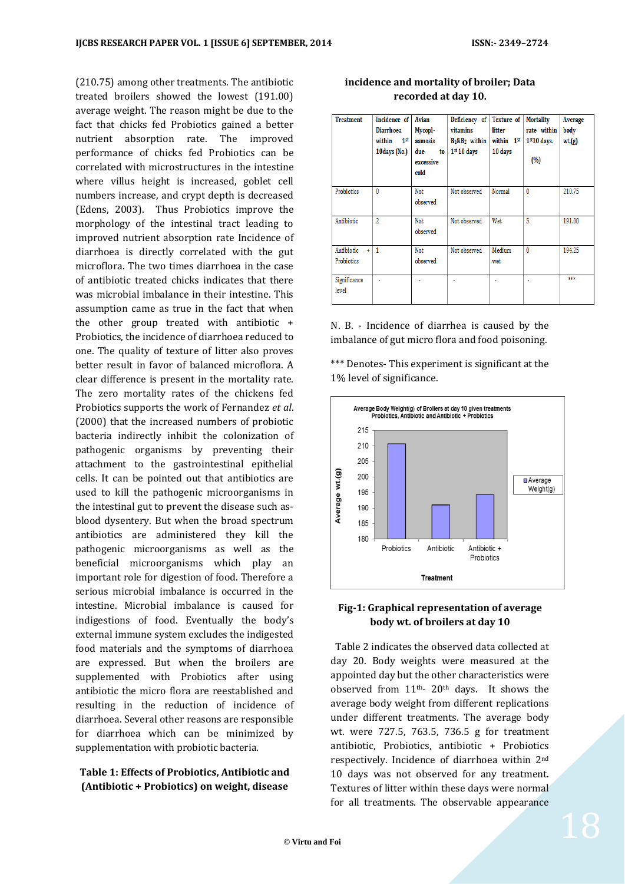(210.75) among other treatments. The antibiotic treated broilers showed the lowest (191.00) average weight. The reason might be due to the fact that chicks fed Probiotics gained a better nutrient absorption rate. The improved performance of chicks fed Probiotics can be correlated with microstructures in the intestine where villus height is increased, goblet cell numbers increase, and crypt depth is decreased (Edens, 2003). Thus Probiotics improve the morphology of the intestinal tract leading to improved nutrient absorption rate Incidence of diarrhoea is directly correlated with the gut microflora. The two times diarrhoea in the case of antibiotic treated chicks indicates that there was microbial imbalance in their intestine. This assumption came as true in the fact that when the other group treated with antibiotic + Probiotics, the incidence of diarrhoea reduced to one. The quality of texture of litter also proves better result in favor of balanced microflora. A clear difference is present in the mortality rate. The zero mortality rates of the chickens fed Probiotics supports the work of Fernandez *et al*. (2000) that the increased numbers of probiotic bacteria indirectly inhibit the colonization of pathogenic organisms by preventing their attachment to the gastrointestinal epithelial cells. It can be pointed out that antibiotics are used to kill the pathogenic microorganisms in the intestinal gut to prevent the disease such asblood dysentery. But when the broad spectrum antibiotics are administered they kill the pathogenic microorganisms as well as the beneficial microorganisms which play an important role for digestion of food. Therefore a serious microbial imbalance is occurred in the intestine. Microbial imbalance is caused for indigestions of food. Eventually the body's external immune system excludes the indigested food materials and the symptoms of diarrhoea are expressed. But when the broilers are supplemented with Probiotics after using antibiotic the micro flora are reestablished and resulting in the reduction of incidence of diarrhoea. Several other reasons are responsible for diarrhoea which can be minimized by supplementation with probiotic bacteria.

## **Table 1: Effects of Probiotics, Antibiotic and (Antibiotic + Probiotics) on weight, disease**

| <b>Treatment</b>                      | Incidence of<br><b>Diarrhoea</b><br>1 <sup>st</sup><br>within<br>10days (No.) | Avian<br>Mycopl-<br>asmosis<br>due<br>to<br>excessive<br>cold | Deficiency of<br>vitamins<br>$B_1$ & $B_2$ within<br>$1st 10$ days | <b>Texture</b> of<br>litter<br>within 1st<br>10 days | <b>Mortality</b><br>rate within<br>$1st10$ days.<br>(%) | Average<br>body<br>wt(g) |
|---------------------------------------|-------------------------------------------------------------------------------|---------------------------------------------------------------|--------------------------------------------------------------------|------------------------------------------------------|---------------------------------------------------------|--------------------------|
| Probiotics                            | 0                                                                             | Not<br>observed                                               | Not observed                                                       | Normal                                               | 0                                                       | 210.75                   |
| Antibiotic                            | $\overline{2}$                                                                | Not<br>observed                                               | Not observed                                                       | Wet                                                  | 5                                                       | 191.00                   |
| Antibiotic<br>$\ddot{}$<br>Probiotics | 1                                                                             | Not<br>observed                                               | Not observed                                                       | Medium<br>wet                                        | $\bf{0}$                                                | 194.25                   |
| Significance<br>level                 | $\ddot{\phantom{0}}$                                                          |                                                               |                                                                    | $\blacksquare$                                       | ٠                                                       | ***                      |

## **incidence and mortality of broiler; Data recorded at day 10.**

N. B. - Incidence of diarrhea is caused by the imbalance of gut micro flora and food poisoning.

\*\*\* Denotes- This experiment is significant at the 1% level of significance.



## **Fig-1: Graphical representation of average body wt. of broilers at day 10**

 Table 2 indicates the observed data collected at day 20. Body weights were measured at the appointed day but the other characteristics were observed from 11th- 20th days. It shows the average body weight from different replications under different treatments. The average body wt. were 727.5, 763.5, 736.5 g for treatment antibiotic, Probiotics, antibiotic + Probiotics respectively. Incidence of diarrhoea within 2nd 10 days was not observed for any treatment. Textures of litter within these days were normal for all treatments. The observable appearance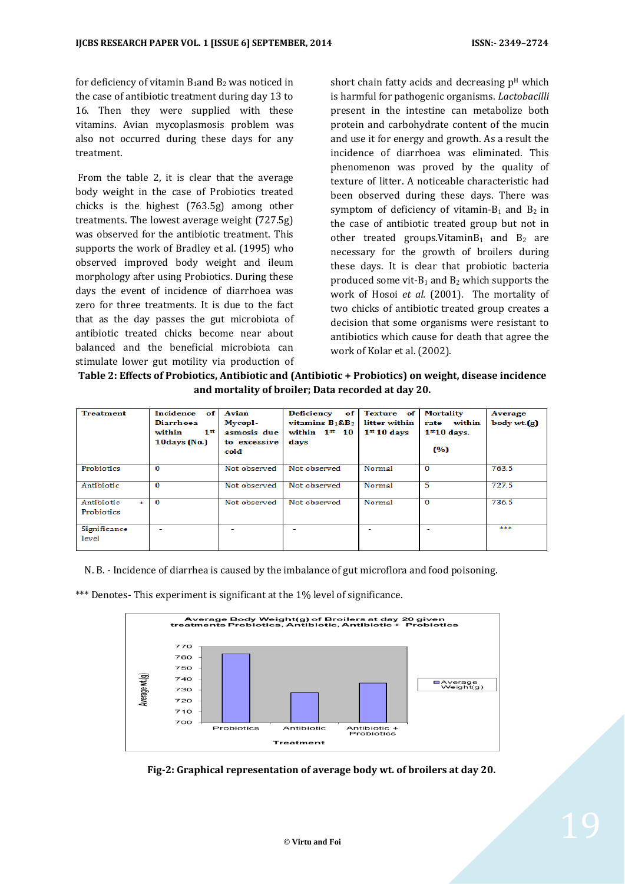for deficiency of vitamin  $B_1$ and  $B_2$  was noticed in the case of antibiotic treatment during day 13 to 16. Then they were supplied with these vitamins. Avian mycoplasmosis problem was also not occurred during these days for any treatment.

From the table 2, it is clear that the average body weight in the case of Probiotics treated chicks is the highest (763.5g) among other treatments. The lowest average weight (727.5g) was observed for the antibiotic treatment. This supports the work of Bradley et al. (1995) who observed improved body weight and ileum morphology after using Probiotics. During these days the event of incidence of diarrhoea was zero for three treatments. It is due to the fact that as the day passes the gut microbiota of antibiotic treated chicks become near about balanced and the beneficial microbiota can stimulate lower gut motility via production of

short chain fatty acids and decreasing  $p<sup>H</sup>$  which is harmful for pathogenic organisms. *Lactobacilli* present in the intestine can metabolize both protein and carbohydrate content of the mucin and use it for energy and growth. As a result the incidence of diarrhoea was eliminated. This phenomenon was proved by the quality of texture of litter. A noticeable characteristic had been observed during these days. There was symptom of deficiency of vitamin- $B_1$  and  $B_2$  in the case of antibiotic treated group but not in other treated groups. Vitamin $B_1$  and  $B_2$  are necessary for the growth of broilers during these days. It is clear that probiotic bacteria produced some vit- $B_1$  and  $B_2$  which supports the work of Hosoi *et al.* (2001). The mortality of two chicks of antibiotic treated group creates a decision that some organisms were resistant to antibiotics which cause for death that agree the work of Kolar et al. (2002).

**Table 2: Effects of Probiotics, Antibiotic and (Antibiotic + Probiotics) on weight, disease incidence and mortality of broiler; Data recorded at day 20.**

| <b>Treatment</b>              | Incidence of<br><b>Diarrhoea</b><br>1 <sup>st</sup><br>within<br>$10 \, \text{days}$ (No.) | Avian<br>Mycopl-<br>asmosis due<br>to excessive<br>cold | <b>Deficiency</b><br>of l<br>vitamins $B_1$ & $B_2$<br>within $1st 10$<br>days | Texture of<br>litter within<br>$1st 10$ days | <b>Mortality</b><br>rate within<br>$1st10$ days.<br>(%) | Average<br>body wt.(g) |
|-------------------------------|--------------------------------------------------------------------------------------------|---------------------------------------------------------|--------------------------------------------------------------------------------|----------------------------------------------|---------------------------------------------------------|------------------------|
| Probiotics                    | $\Omega$                                                                                   | Not observed                                            | Not observed                                                                   | Normal                                       | $\Omega$                                                | 763.5                  |
| Antibiotic                    | $\Omega$                                                                                   | Not observed                                            | Not observed                                                                   | Normal                                       | 5                                                       | 727.5                  |
| Antibiotic<br>÷<br>Probiotics | 0                                                                                          | Not observed                                            | Not observed                                                                   | Normal                                       | $\mathbf 0$                                             | 736.5                  |
| Significance<br>level         | $\overline{\phantom{a}}$                                                                   |                                                         | ۰                                                                              | $\overline{\phantom{0}}$                     |                                                         | ***                    |

N. B. - Incidence of diarrhea is caused by the imbalance of gut microflora and food poisoning.

\*\*\* Denotes- This experiment is significant at the 1% level of significance.



 **Fig-2: Graphical representation of average body wt. of broilers at day 20.**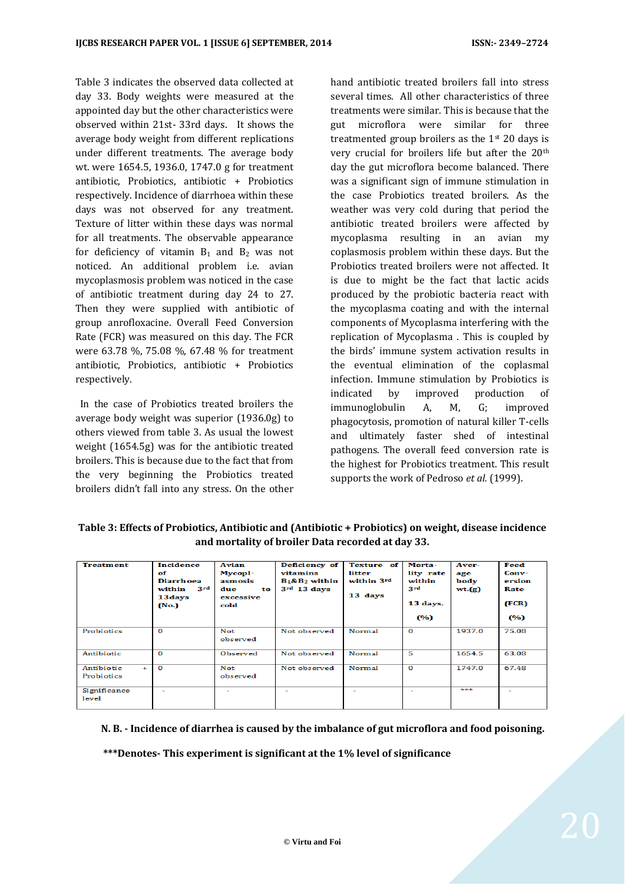Table 3 indicates the observed data collected at day 33. Body weights were measured at the appointed day but the other characteristics were observed within 21st- 33rd days. It shows the average body weight from different replications under different treatments. The average body wt. were 1654.5, 1936.0, 1747.0 g for treatment antibiotic, Probiotics, antibiotic + Probiotics respectively. Incidence of diarrhoea within these days was not observed for any treatment. Texture of litter within these days was normal for all treatments. The observable appearance for deficiency of vitamin  $B_1$  and  $B_2$  was not noticed. An additional problem i.e. avian mycoplasmosis problem was noticed in the case of antibiotic treatment during day 24 to 27. Then they were supplied with antibiotic of group anrofloxacine. Overall Feed Conversion Rate (FCR) was measured on this day. The FCR were 63.78 %, 75.08 %, 67.48 % for treatment antibiotic, Probiotics, antibiotic + Probiotics respectively.

 In the case of Probiotics treated broilers the average body weight was superior (1936.0g) to others viewed from table 3. As usual the lowest weight (1654.5g) was for the antibiotic treated broilers. This is because due to the fact that from the very beginning the Probiotics treated broilers didn't fall into any stress. On the other

hand antibiotic treated broilers fall into stress several times. All other characteristics of three treatments were similar. This is because that the gut microflora were similar for three treatmented group broilers as the 1st 20 days is very crucial for broilers life but after the 20th day the gut microflora become balanced. There was a significant sign of immune stimulation in the case Probiotics treated broilers. As the weather was very cold during that period the antibiotic treated broilers were affected by mycoplasma resulting in an avian my coplasmosis problem within these days. But the Probiotics treated broilers were not affected. It is due to might be the fact that lactic acids produced by the probiotic bacteria react with the mycoplasma coating and with the internal components of Mycoplasma interfering with the replication of Mycoplasma . This is coupled by the birds' immune system activation results in the eventual elimination of the coplasmal infection. Immune stimulation by Probiotics is indicated by improved production of immunoglobulin A, M, G; improved phagocytosis, promotion of natural killer T-cells and ultimately faster shed of intestinal pathogens. The overall feed conversion rate is the highest for Probiotics treatment. This result supports the work of Pedroso *et al.* (1999).

**Table 3: Effects of Probiotics, Antibiotic and (Antibiotic + Probiotics) on weight, disease incidence and mortality of broiler Data recorded at day 33.**

| <b>Treatment</b>                | Incidence<br>of<br>Diarrh oea<br>3rd<br>within<br>13 days<br>(No.) | Avian<br>Mycopl-<br>asmosis<br>due<br>to<br>excessive<br>cold | Deficiency of<br>vitamins<br>$B_1\&B_2$ within<br>3 <sup>rd</sup> 13 days | <b>Texture</b> of<br>litter<br>within 3rd<br>13 days | Morta-<br>lity rate<br>within<br>3rd<br>13 days.<br>(%) | Aver-<br>age<br>body<br>wt(g) | Feed<br>Conv-<br>ersion<br>Rate<br>(FCR)<br>(%) |
|---------------------------------|--------------------------------------------------------------------|---------------------------------------------------------------|---------------------------------------------------------------------------|------------------------------------------------------|---------------------------------------------------------|-------------------------------|-------------------------------------------------|
| Probiotics                      | $\mathbf{o}$                                                       | Not<br>observed                                               | Not observed                                                              | Normal                                               | $\mathbf{o}$                                            | 1937.0                        | 75.08                                           |
| Antibiotic                      | $\Omega$                                                           | Observed                                                      | Not observed                                                              | Normal                                               | 5                                                       | 1654.5                        | 63.08                                           |
| Antibiotic<br>$+$<br>Probiotics | $\Omega$                                                           | <b>Not</b><br>observed                                        | Not observed                                                              | Normal                                               | $\mathbf{o}$                                            | 1747.0                        | 67.48                                           |
| Significance<br>level           |                                                                    | $\overline{\phantom{a}}$                                      | -                                                                         |                                                      |                                                         | ste ste ste                   | $\overline{\phantom{a}}$                        |

 **N. B. - Incidence of diarrhea is caused by the imbalance of gut microflora and food poisoning.**

 **\*\*\*Denotes- This experiment is significant at the 1% level of significance**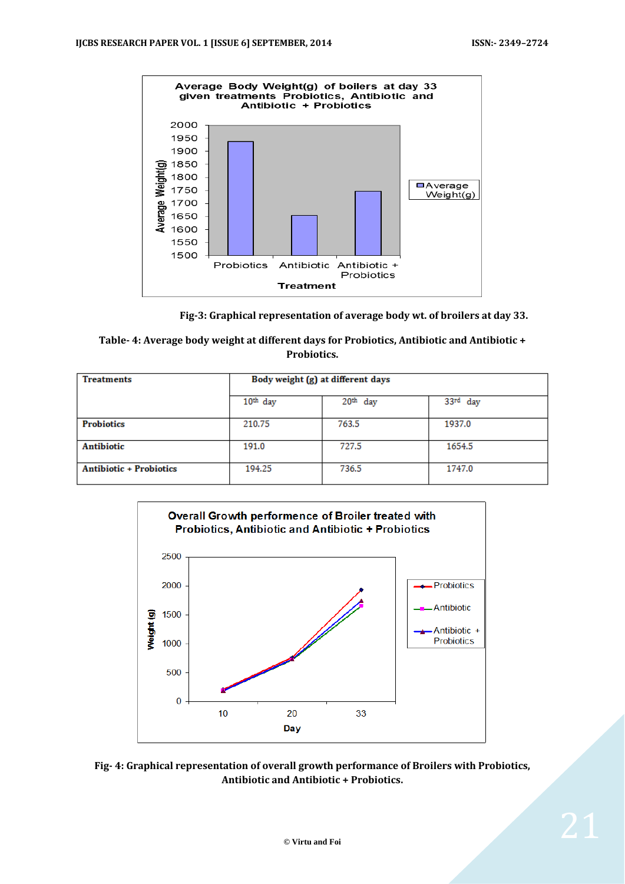

 **Fig-3: Graphical representation of average body wt. of broilers at day 33.**

| Table- 4: Average body weight at different days for Probiotics, Antibiotic and Antibiotic + |
|---------------------------------------------------------------------------------------------|
| <b>Probiotics.</b>                                                                          |

| <b>Treatments</b>              | Body weight (g) at different days |            |          |  |  |
|--------------------------------|-----------------------------------|------------|----------|--|--|
|                                | $10th$ day                        | $20th$ day | 33rd day |  |  |
| <b>Probiotics</b>              | 210.75                            | 763.5      | 1937.0   |  |  |
| <b>Antibiotic</b>              | 191.0                             | 727.5      | 1654.5   |  |  |
| <b>Antibiotic + Probiotics</b> | 194.25                            | 736.5      | 1747.0   |  |  |



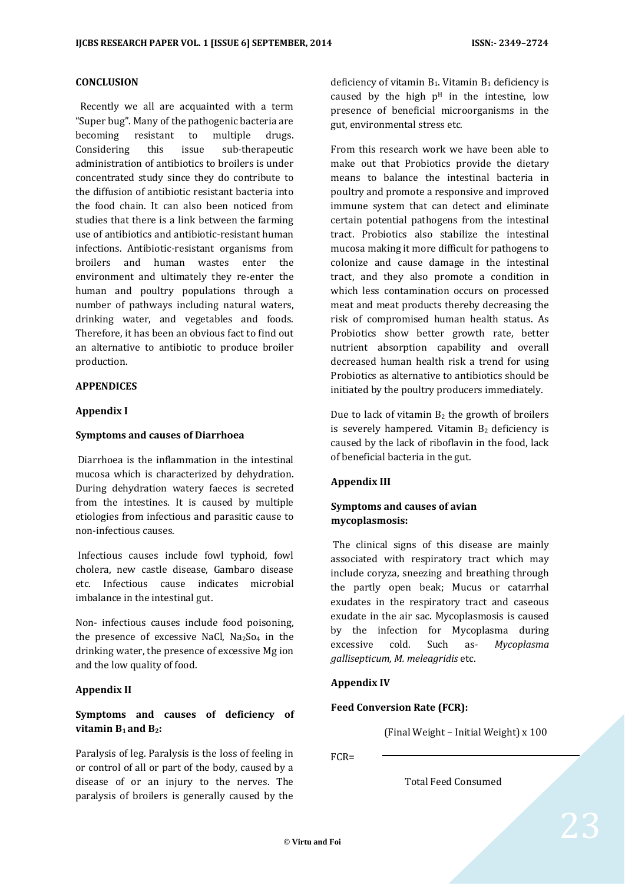### **CONCLUSION**

 Recently we all are acquainted with a term "Super bug". Many of the pathogenic bacteria are becoming resistant to multiple drugs. Considering this issue sub-therapeutic administration of antibiotics to broilers is under concentrated study since they do contribute to the diffusion of antibiotic resistant bacteria into the food chain. It can also been noticed from studies that there is a link between the farming use of antibiotics and antibiotic-resistant human infections. Antibiotic-resistant organisms from broilers and human wastes enter the environment and ultimately they re-enter the human and poultry populations through a number of pathways including natural waters, drinking water, and vegetables and foods. Therefore, it has been an obvious fact to find out an alternative to antibiotic to produce broiler production.

#### **APPENDICES**

#### **Appendix I**

#### **Symptoms and causes of Diarrhoea**

Diarrhoea is the inflammation in the intestinal mucosa which is characterized by dehydration. During dehydration watery faeces is secreted from the intestines. It is caused by multiple etiologies from infectious and parasitic cause to non-infectious causes.

Infectious causes include fowl typhoid, fowl cholera, new castle disease, Gambaro disease etc. Infectious cause indicates microbial imbalance in the intestinal gut.

Non- infectious causes include food poisoning, the presence of excessive NaCl,  $Na<sub>2</sub>So<sub>4</sub>$  in the drinking water, the presence of excessive Mg ion and the low quality of food.

#### **Appendix II**

## **Symptoms and causes of deficiency of vitamin**  $B_1$  **and**  $B_2$ **:**

Paralysis of leg. Paralysis is the loss of feeling in or control of all or part of the body, caused by a disease of or an injury to the nerves. The paralysis of broilers is generally caused by the

deficiency of vitamin  $B_1$ . Vitamin  $B_1$  deficiency is caused by the high  $p<sup>H</sup>$  in the intestine, low presence of beneficial microorganisms in the gut, environmental stress etc.

From this research work we have been able to make out that Probiotics provide the dietary means to balance the intestinal bacteria in poultry and promote a responsive and improved immune system that can detect and eliminate certain potential pathogens from the intestinal tract. Probiotics also stabilize the intestinal mucosa making it more difficult for pathogens to colonize and cause damage in the intestinal tract, and they also promote a condition in which less contamination occurs on processed meat and meat products thereby decreasing the risk of compromised human health status. As Probiotics show better growth rate, better nutrient absorption capability and overall decreased human health risk a trend for using Probiotics as alternative to antibiotics should be initiated by the poultry producers immediately.

Due to lack of vitamin  $B_2$  the growth of broilers is severely hampered. Vitamin  $B_2$  deficiency is caused by the lack of riboflavin in the food, lack of beneficial bacteria in the gut.

#### **Appendix III**

## **Symptoms and causes of avian mycoplasmosis:**

The clinical signs of this disease are mainly associated with respiratory tract which may include coryza, sneezing and breathing through the partly open beak; Mucus or catarrhal exudates in the respiratory tract and caseous exudate in the air sac. Mycoplasmosis is caused by the infection for Mycoplasma during excessive cold. Such as*- Mycoplasma gallisepticum, M. meleagridis* etc.

#### **Appendix IV**

#### **Feed Conversion Rate (FCR):**

(Final Weight – Initial Weight) x 100

FCR=

Total Feed Consumed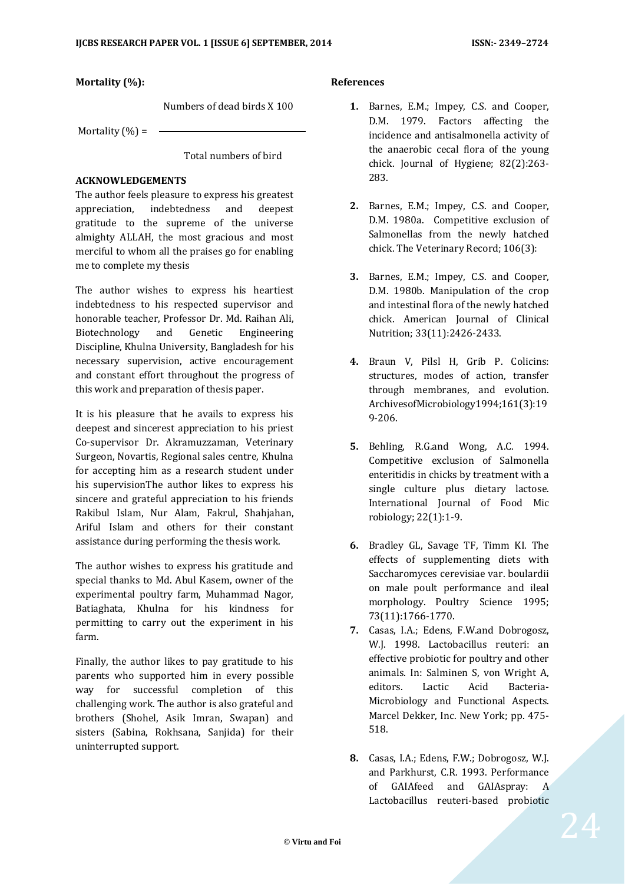**Mortality (%):**

Numbers of dead birds X 100

Mortality  $(\% )$  =

Total numbers of bird

### **ACKNOWLEDGEMENTS**

The author feels pleasure to express his greatest appreciation, indebtedness and deepest gratitude to the supreme of the universe almighty ALLAH, the most gracious and most merciful to whom all the praises go for enabling me to complete my thesis

The author wishes to express his heartiest indebtedness to his respected supervisor and honorable teacher, Professor Dr. Md. Raihan Ali, Biotechnology and Genetic Engineering Discipline, Khulna University, Bangladesh for his necessary supervision, active encouragement and constant effort throughout the progress of this work and preparation of thesis paper.

It is his pleasure that he avails to express his deepest and sincerest appreciation to his priest Co-supervisor Dr. Akramuzzaman, Veterinary Surgeon, Novartis, Regional sales centre, Khulna for accepting him as a research student under his supervisionThe author likes to express his sincere and grateful appreciation to his friends Rakibul Islam, Nur Alam, Fakrul, Shahjahan, Ariful Islam and others for their constant assistance during performing the thesis work.

The author wishes to express his gratitude and special thanks to Md. Abul Kasem, owner of the experimental poultry farm, Muhammad Nagor, Batiaghata, Khulna for his kindness for permitting to carry out the experiment in his farm.

Finally, the author likes to pay gratitude to his parents who supported him in every possible way for successful completion of this challenging work. The author is also grateful and brothers (Shohel, Asik Imran, Swapan) and sisters (Sabina, Rokhsana, Sanjida) for their uninterrupted support.

## **References**

- **1.** Barnes, E.M.; Impey, C.S. and Cooper, D.M. 1979. Factors affecting the incidence and antisalmonella activity of the anaerobic cecal flora of the young chick. Journal of Hygiene; 82(2):263- 283.
- **2.** Barnes, E.M.; Impey, C.S. and Cooper, D.M. 1980a. Competitive exclusion of Salmonellas from the newly hatched chick. The Veterinary Record; 106(3):
- **3.** Barnes, E.M.; Impey, C.S. and Cooper, D.M. 1980b. Manipulation of the crop and intestinal flora of the newly hatched chick. American Journal of Clinical Nutrition; 33(11):2426-2433.
- **4.** Braun V, Pilsl H, Grib P. Colicins: structures, modes of action, transfer through membranes, and evolution. ArchivesofMicrobiology1994;161(3):19 9-206.
- **5.** Behling, R.G.and Wong, A.C. 1994. Competitive exclusion of Salmonella enteritidis in chicks by treatment with a single culture plus dietary lactose. International Journal of Food Mic robiology; 22(1):1-9.
- **6.** Bradley GL, Savage TF, Timm KI. The effects of supplementing diets with Saccharomyces cerevisiae var. boulardii on male poult performance and ileal morphology. Poultry Science 1995; 73(11):1766-1770.
- **7.** Casas, I.A.; Edens, F.W.and Dobrogosz, W.J. 1998. Lactobacillus reuteri: an effective probiotic for poultry and other animals. In: Salminen S, von Wright A, editors. Lactic Acid Bacteria-Microbiology and Functional Aspects. Marcel Dekker, Inc. New York; pp. 475- 518.
- **8.** Casas, I.A.; Edens, F.W.; Dobrogosz, W.J. and Parkhurst, C.R. 1993. Performance of GAIAfeed and GAIAspray: A Lactobacillus reuteri-based probiotic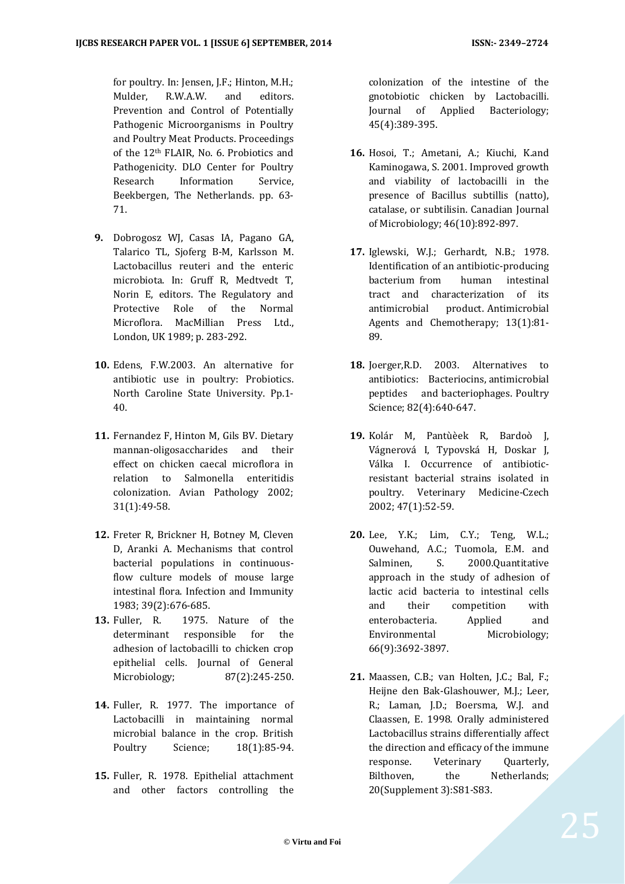for poultry. In: Jensen, J.F.; Hinton, M.H.; Mulder, R.W.A.W. and editors. Prevention and Control of Potentially Pathogenic Microorganisms in Poultry and Poultry Meat Products. Proceedings of the 12th FLAIR, No. 6. Probiotics and Pathogenicity. DLO Center for Poultry Research Information Service, Beekbergen, The Netherlands. pp. 63- 71.

- **9.** Dobrogosz WJ, Casas IA, Pagano GA, Talarico TL, Sjoferg B-M, Karlsson M. Lactobacillus reuteri and the enteric microbiota. In: Gruff R, Medtvedt T, Norin E, editors. The Regulatory and Protective Role of the Normal Microflora. MacMillian Press Ltd., London, UK 1989; p. 283-292.
- **10.** Edens, F.W.2003. An alternative for antibiotic use in poultry: Probiotics. North Caroline State University. Pp.1- 40.
- **11.** Fernandez F, Hinton M, Gils BV. Dietary mannan-oligosaccharides and their effect on chicken caecal microflora in relation to Salmonella enteritidis colonization. Avian Pathology 2002; 31(1):49-58.
- **12.** Freter R, Brickner H, Botney M, Cleven D, Aranki A. Mechanisms that control bacterial populations in continuousflow culture models of mouse large intestinal flora. Infection and Immunity 1983; 39(2):676-685.
- **13.** Fuller, R. 1975. Nature of the determinant responsible for the adhesion of lactobacilli to chicken crop epithelial cells. Journal of General Microbiology; 87(2):245-250.
- **14.** Fuller, R. 1977. The importance of Lactobacilli in maintaining normal microbial balance in the crop. British Poultry Science; 18(1):85-94.
- **15.** Fuller, R. 1978. Epithelial attachment and other factors controlling the

colonization of the intestine of the gnotobiotic chicken by Lactobacilli. Journal of Applied Bacteriology; 45(4):389-395.

- **16.** Hosoi, T.; Ametani, A.; Kiuchi, K.and Kaminogawa, S. 2001. Improved growth and viability of lactobacilli in the presence of Bacillus subtillis (natto), catalase, or subtilisin. Canadian Journal of Microbiology; 46(10):892-897.
- **17.** Iglewski, W.J.; Gerhardt, N.B.; 1978. Identification of an antibiotic-producing bacterium from human intestinal tract and characterization of its antimicrobial product. Antimicrobial Agents and Chemotherapy; 13(1):81- 89.
- **18.** Joerger,R.D. 2003. Alternatives to antibiotics: Bacteriocins, antimicrobial peptides and bacteriophages. Poultry Science; 82(4):640-647.
- **19.** Kolár M, Pantùèek R, Bardoò J, Vágnerová I, Typovská H, Doskar J, Válka I. Occurrence of antibioticresistant bacterial strains isolated in poultry. Veterinary Medicine-Czech 2002; 47(1):52-59.
- **20.** Lee, Y.K.; Lim, C.Y.; Teng, W.L.; Ouwehand, A.C.; Tuomola, E.M. and Salminen, S. 2000.Quantitative approach in the study of adhesion of lactic acid bacteria to intestinal cells and their competition with enterobacteria. Applied and Environmental Microbiology; 66(9):3692-3897.
- **21.** Maassen, C.B.; van Holten, J.C.; Bal, F.; Heijne den Bak-Glashouwer, M.J.; Leer, R.; Laman, J.D.; Boersma, W.J. and Claassen, E. 1998. Orally administered Lactobacillus strains differentially affect the direction and efficacy of the immune response. Veterinary Quarterly, Bilthoven, the Netherlands; 20(Supplement 3):S81-S83.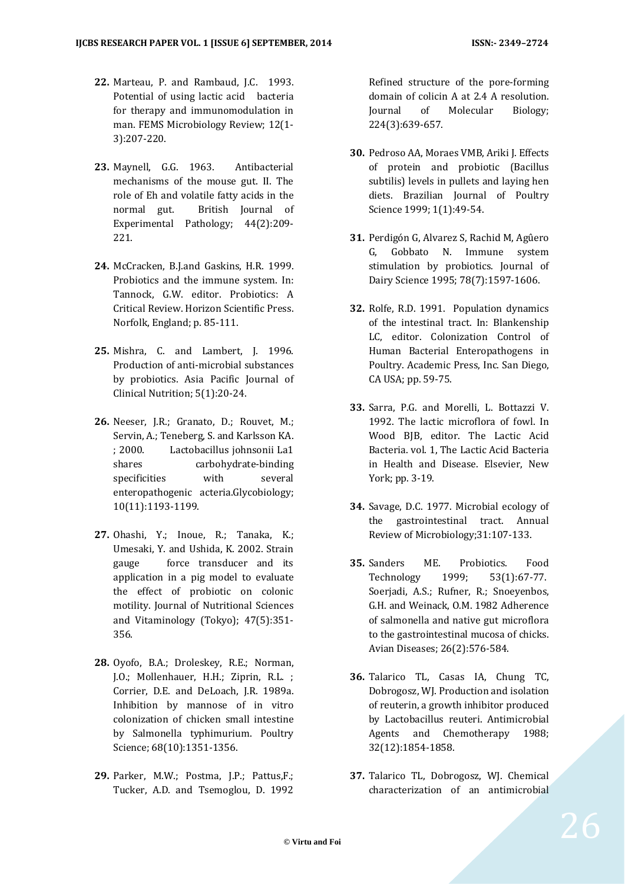- **22.** Marteau, P. and Rambaud, J.C. 1993. Potential of using lactic acid bacteria for therapy and immunomodulation in man. FEMS Microbiology Review; 12(1- 3):207-220.
- **23.** Maynell, G.G. 1963. Antibacterial mechanisms of the mouse gut. II. The role of Eh and volatile fatty acids in the normal gut. British Journal of Experimental Pathology; 44(2):209- 221.
- **24.** McCracken, B.J.and Gaskins, H.R. 1999. Probiotics and the immune system. In: Tannock, G.W. editor. Probiotics: A Critical Review. Horizon Scientific Press. Norfolk, England; p. 85-111.
- **25.** Mishra, C. and Lambert, J. 1996. Production of anti-microbial substances by probiotics. Asia Pacific Journal of Clinical Nutrition; 5(1):20-24.
- **26.** Neeser, J.R.; Granato, D.; Rouvet, M.; Servin, A.; Teneberg, S. and Karlsson KA. ; 2000. Lactobacillus johnsonii La1 shares carbohydrate-binding specificities with several enteropathogenic acteria.Glycobiology; 10(11):1193-1199.
- **27.** Ohashi, Y.; Inoue, R.; Tanaka, K.; Umesaki, Y. and Ushida, K. 2002. Strain gauge force transducer and its application in a pig model to evaluate the effect of probiotic on colonic motility. Journal of Nutritional Sciences and Vitaminology (Tokyo); 47(5):351- 356.
- **28.** Oyofo, B.A.; Droleskey, R.E.; Norman, J.O.; Mollenhauer, H.H.; Ziprin, R.L. ; Corrier, D.E. and DeLoach, J.R. 1989a. Inhibition by mannose of in vitro colonization of chicken small intestine by Salmonella typhimurium. Poultry Science; 68(10):1351-1356.
- **29.** Parker, M.W.; Postma, J.P.; Pattus,F.; Tucker, A.D. and Tsemoglou, D. 1992

Refined structure of the pore-forming domain of colicin A at 2.4 A resolution. Journal of Molecular Biology; 224(3):639-657.

- **30.** Pedroso AA, Moraes VMB, Ariki J. Effects of protein and probiotic (Bacillus subtilis) levels in pullets and laying hen diets. Brazilian Journal of Poultry Science 1999; 1(1):49-54.
- **31.** Perdigón G, Alvarez S, Rachid M, Agûero G, Gobbato N. Immune system stimulation by probiotics. Journal of Dairy Science 1995; 78(7):1597-1606.
- **32.** Rolfe, R.D. 1991. Population dynamics of the intestinal tract. In: Blankenship LC, editor. Colonization Control of Human Bacterial Enteropathogens in Poultry. Academic Press, Inc. San Diego, CA USA; pp. 59-75.
- **33.** Sarra, P.G. and Morelli, L. Bottazzi V. 1992. The lactic microflora of fowl. In Wood BJB, editor. The Lactic Acid Bacteria. vol. 1, The Lactic Acid Bacteria in Health and Disease. Elsevier, New York; pp. 3-19.
- **34.** Savage, D.C. 1977. Microbial ecology of the gastrointestinal tract. Annual Review of Microbiology;31:107-133.
- **35.** Sanders ME. Probiotics. Food Technology 1999; 53(1):67-77. Soerjadi, A.S.; Rufner, R.; Snoeyenbos, G.H. and Weinack, O.M. 1982 Adherence of salmonella and native gut microflora to the gastrointestinal mucosa of chicks. Avian Diseases; 26(2):576-584.
- **36.** Talarico TL, Casas IA, Chung TC, Dobrogosz, WJ. Production and isolation of reuterin, a growth inhibitor produced by Lactobacillus reuteri. Antimicrobial Agents and Chemotherapy 1988; 32(12):1854-1858.
- **37.** Talarico TL, Dobrogosz, WJ. Chemical characterization of an antimicrobial